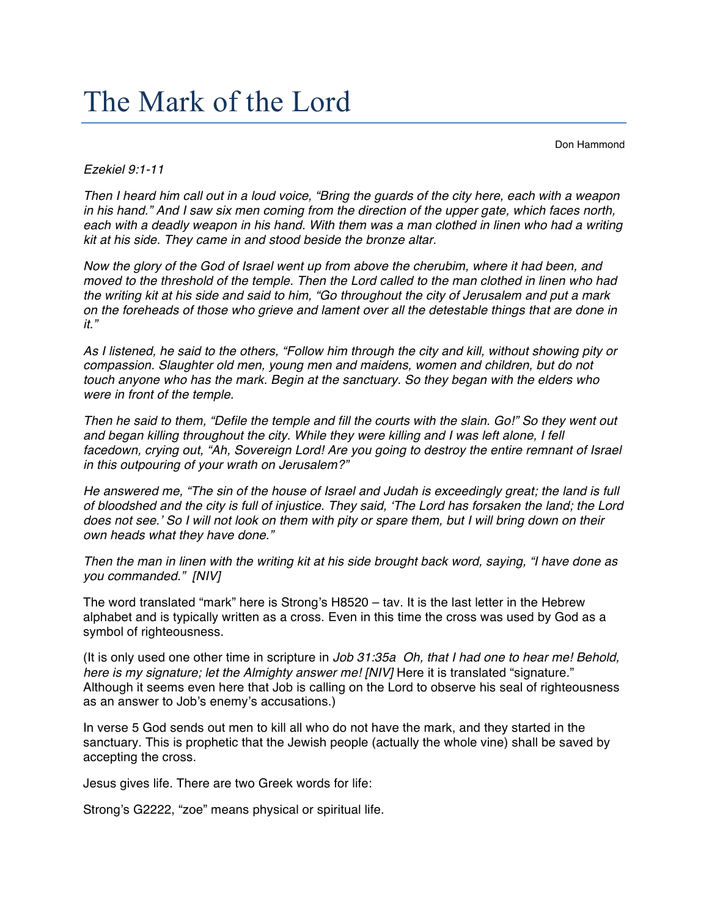## The Mark of the Lord

Don Hammond

## *Ezekiel 9:1-11*

*Then I heard him call out in a loud voice, "Bring the guards of the city here, each with a weapon in his hand." And I saw six men coming from the direction of the upper gate, which faces north, each with a deadly weapon in his hand. With them was a man clothed in linen who had a writing kit at his side. They came in and stood beside the bronze altar.*

*Now the glory of the God of Israel went up from above the cherubim, where it had been, and moved to the threshold of the temple. Then the Lord called to the man clothed in linen who had the writing kit at his side and said to him, "Go throughout the city of Jerusalem and put a mark on the foreheads of those who grieve and lament over all the detestable things that are done in it."*

*As I listened, he said to the others, "Follow him through the city and kill, without showing pity or compassion. Slaughter old men, young men and maidens, women and children, but do not touch anyone who has the mark. Begin at the sanctuary. So they began with the elders who were in front of the temple.*

*Then he said to them, "Defile the temple and fill the courts with the slain. Go!" So they went out*  and began killing throughout the city. While they were killing and I was left alone, I fell facedown, crying out, "Ah, Sovereign Lord! Are you going to destroy the entire remnant of Israel *in this outpouring of your wrath on Jerusalem?"*

*He answered me, "The sin of the house of Israel and Judah is exceedingly great; the land is full of bloodshed and the city is full of injustice. They said, 'The Lord has forsaken the land; the Lord does not see.' So I will not look on them with pity or spare them, but I will bring down on their own heads what they have done."*

*Then the man in linen with the writing kit at his side brought back word, saying, "I have done as you commanded." [NIV]*

The word translated "mark" here is Strong's H8520 – tav. It is the last letter in the Hebrew alphabet and is typically written as a cross. Even in this time the cross was used by God as a symbol of righteousness.

(It is only used one other time in scripture in *Job 31:35a Oh, that I had one to hear me! Behold, here is my signature; let the Almighty answer me! [NIV]* Here it is translated "signature." Although it seems even here that Job is calling on the Lord to observe his seal of righteousness as an answer to Job's enemy's accusations.)

In verse 5 God sends out men to kill all who do not have the mark, and they started in the sanctuary. This is prophetic that the Jewish people (actually the whole vine) shall be saved by accepting the cross.

Jesus gives life. There are two Greek words for life:

Strong's G2222, "zoe" means physical or spiritual life.